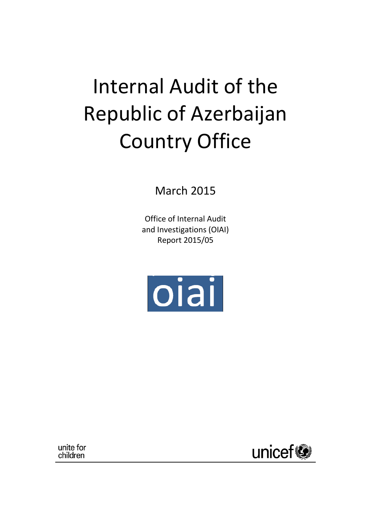# Internal Audit of the Republic of Azerbaijan Country Office

March 2015

Office of Internal Audit and Investigations (OIAI) Report 2015/05



unite for children

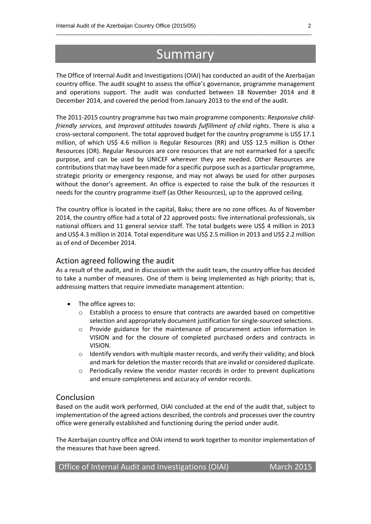# Summary

\_\_\_\_\_\_\_\_\_\_\_\_\_\_\_\_\_\_\_\_\_\_\_\_\_\_\_\_\_\_\_\_\_\_\_\_\_\_\_\_\_\_\_\_\_\_\_\_\_\_\_\_\_\_\_\_\_\_\_\_\_\_\_\_\_\_\_\_\_\_\_\_\_\_\_\_\_\_\_\_\_\_

The Office of Internal Audit and Investigations (OIAI) has conducted an audit of the Azerbaijan country office. The audit sought to assess the office's governance, programme management and operations support. The audit was conducted between 18 November 2014 and 8 December 2014, and covered the period from January 2013 to the end of the audit.

The 2011-2015 country programme has two main programme components: *Responsive childfriendly services,* and *Improved attitudes towards fulfillment of child rights*. There is also a cross-sectoral component. The total approved budget for the country programme is US\$ 17.1 million, of which US\$ 4.6 million is Regular Resources (RR) and US\$ 12.5 million is Other Resources (OR). Regular Resources are core resources that are not earmarked for a specific purpose, and can be used by UNICEF wherever they are needed. Other Resources are contributions that may have been made for a specific purpose such as a particular programme, strategic priority or emergency response, and may not always be used for other purposes without the donor's agreement. An office is expected to raise the bulk of the resources it needs for the country programme itself (as Other Resources), up to the approved ceiling.

The country office is located in the capital, Baku; there are no zone offices. As of November 2014, the country office had a total of 22 approved posts: five international professionals, six national officers and 11 general service staff. The total budgets were US\$ 4 million in 2013 and US\$ 4.3 million in 2014. Total expenditure was US\$ 2.5 million in 2013 and US\$ 2.2 million as of end of December 2014.

#### Action agreed following the audit

As a result of the audit, and in discussion with the audit team, the country office has decided to take a number of measures. One of them is being implemented as high priority; that is, addressing matters that require immediate management attention:

- The office agrees to:
	- o Establish a process to ensure that contracts are awarded based on competitive selection and appropriately document justification for single-sourced selections.
	- o Provide guidance for the maintenance of procurement action information in VISION and for the closure of completed purchased orders and contracts in VISION.
	- $\circ$  Identify vendors with multiple master records, and verify their validity; and block and mark for deletion the master records that are invalid or considered duplicate.
	- o Periodically review the vendor master records in order to prevent duplications and ensure completeness and accuracy of vendor records.

#### **Conclusion**

Based on the audit work performed, OIAI concluded at the end of the audit that, subject to implementation of the agreed actions described, the controls and processes over the country office were generally established and functioning during the period under audit.

The Azerbaijan country office and OIAI intend to work together to monitor implementation of the measures that have been agreed.

Office of Internal Audit and Investigations (OIAI) March 2015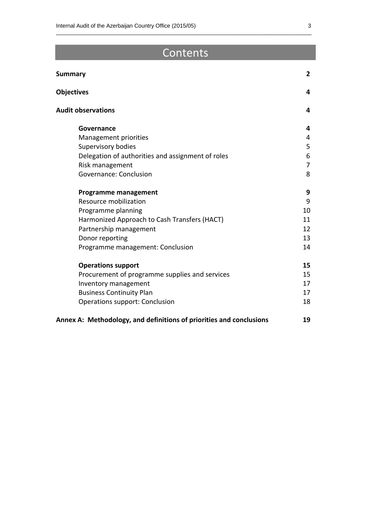# Contents

\_\_\_\_\_\_\_\_\_\_\_\_\_\_\_\_\_\_\_\_\_\_\_\_\_\_\_\_\_\_\_\_\_\_\_\_\_\_\_\_\_\_\_\_\_\_\_\_\_\_\_\_\_\_\_\_\_\_\_\_\_\_\_\_\_\_\_\_\_\_\_\_\_\_\_\_\_\_\_\_\_\_

| <b>Summary</b>                                                      | $\mathbf{2}$   |
|---------------------------------------------------------------------|----------------|
| <b>Objectives</b>                                                   | 4              |
| <b>Audit observations</b>                                           | 4              |
| Governance                                                          | 4              |
| Management priorities                                               | 4              |
| Supervisory bodies                                                  | 5              |
| Delegation of authorities and assignment of roles                   | 6              |
| Risk management                                                     | $\overline{7}$ |
| Governance: Conclusion                                              | 8              |
| <b>Programme management</b>                                         | 9              |
| Resource mobilization                                               | 9              |
| Programme planning                                                  | 10             |
| Harmonized Approach to Cash Transfers (HACT)                        | 11             |
| Partnership management                                              | 12             |
| Donor reporting                                                     | 13             |
| Programme management: Conclusion                                    | 14             |
| <b>Operations support</b>                                           | 15             |
| Procurement of programme supplies and services                      | 15             |
| Inventory management                                                | 17             |
| <b>Business Continuity Plan</b>                                     | 17             |
| Operations support: Conclusion                                      | 18             |
| Annex A: Methodology, and definitions of priorities and conclusions | 19             |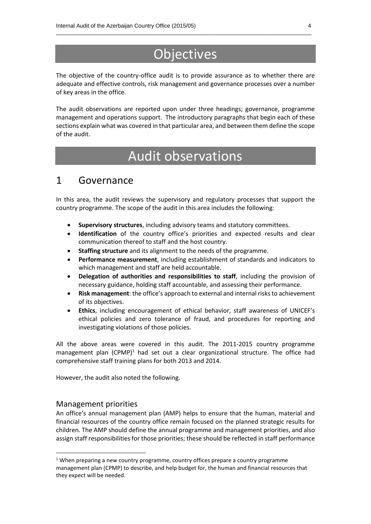# **Objectives**

\_\_\_\_\_\_\_\_\_\_\_\_\_\_\_\_\_\_\_\_\_\_\_\_\_\_\_\_\_\_\_\_\_\_\_\_\_\_\_\_\_\_\_\_\_\_\_\_\_\_\_\_\_\_\_\_\_\_\_\_\_\_\_\_\_\_\_\_\_\_\_\_\_\_\_\_\_\_\_\_\_\_

The objective of the country-office audit is to provide assurance as to whether there are adequate and effective controls, risk management and governance processes over a number of key areas in the office.

The audit observations are reported upon under three headings; governance, programme management and operations support. The introductory paragraphs that begin each of these sections explain what was covered in that particular area, and between them define the scope of the audit.

# Audit observations

### 1 Governance

In this area, the audit reviews the supervisory and regulatory processes that support the country programme. The scope of the audit in this area includes the following:

- **Supervisory structures**, including advisory teams and statutory committees.
- **Identification** of the country office's priorities and expected results and clear communication thereof to staff and the host country.
- **Staffing structure** and its alignment to the needs of the programme.
- **Performance measurement**, including establishment of standards and indicators to which management and staff are held accountable.
- **Delegation of authorities and responsibilities to staff**, including the provision of necessary guidance, holding staff accountable, and assessing their performance.
- **Risk management**: the office's approach to external and internal risks to achievement of its objectives.
- **Ethics**, including encouragement of ethical behavior, staff awareness of UNICEF's ethical policies and zero tolerance of fraud, and procedures for reporting and investigating violations of those policies.

All the above areas were covered in this audit. The 2011-2015 country programme management plan  $(CPMP)^1$  had set out a clear organizational structure. The office had comprehensive staff training plans for both 2013 and 2014.

However, the audit also noted the following.

#### Management priorities

**.** 

An office's annual management plan (AMP) helps to ensure that the human, material and financial resources of the country office remain focused on the planned strategic results for children. The AMP should define the annual programme and management priorities, and also assign staff responsibilities for those priorities; these should be reflected in staff performance

 $1$  When preparing a new country programme, country offices prepare a country programme management plan (CPMP) to describe, and help budget for, the human and financial resources that they expect will be needed.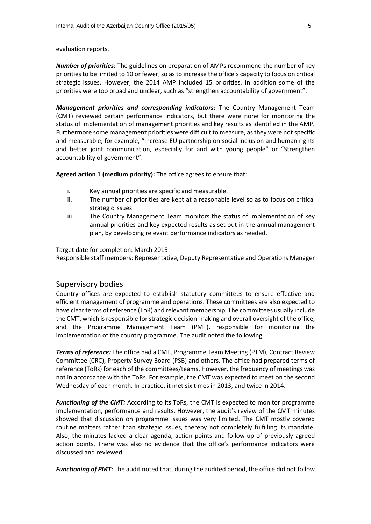evaluation reports.

*Number of priorities:* The guidelines on preparation of AMPs recommend the number of key priorities to be limited to 10 or fewer, so as to increase the office's capacity to focus on critical strategic issues. However, the 2014 AMP included 15 priorities. In addition some of the priorities were too broad and unclear, such as "strengthen accountability of government".

\_\_\_\_\_\_\_\_\_\_\_\_\_\_\_\_\_\_\_\_\_\_\_\_\_\_\_\_\_\_\_\_\_\_\_\_\_\_\_\_\_\_\_\_\_\_\_\_\_\_\_\_\_\_\_\_\_\_\_\_\_\_\_\_\_\_\_\_\_\_\_\_\_\_\_\_\_\_\_\_\_\_

*Management priorities and corresponding indicators:* The Country Management Team (CMT) reviewed certain performance indicators, but there were none for monitoring the status of implementation of management priorities and key results as identified in the AMP. Furthermore some management priorities were difficult to measure, as they were not specific and measurable; for example, "Increase EU partnership on social inclusion and human rights and better joint communication, especially for and with young people" or "Strengthen accountability of government".

**Agreed action 1 (medium priority):** The office agrees to ensure that:

- i. Key annual priorities are specific and measurable.
- ii. The number of priorities are kept at a reasonable level so as to focus on critical strategic issues.
- iii. The Country Management Team monitors the status of implementation of key annual priorities and key expected results as set out in the annual management plan, by developing relevant performance indicators as needed.

Target date for completion: March 2015

Responsible staff members: Representative, Deputy Representative and Operations Manager

#### Supervisory bodies

Country offices are expected to establish statutory committees to ensure effective and efficient management of programme and operations. These committees are also expected to have clear terms of reference (ToR) and relevant membership. The committees usually include the CMT, which isresponsible for strategic decision-making and overall oversight of the office, and the Programme Management Team (PMT), responsible for monitoring the implementation of the country programme. The audit noted the following.

*Terms of reference:* The office had a CMT, Programme Team Meeting (PTM), Contract Review Committee (CRC), Property Survey Board (PSB) and others. The office had prepared terms of reference (ToRs) for each of the committees/teams. However, the frequency of meetings was not in accordance with the ToRs. For example, the CMT was expected to meet on the second Wednesday of each month. In practice, it met six times in 2013, and twice in 2014.

*Functioning of the CMT:* According to its ToRs, the CMT is expected to monitor programme implementation, performance and results. However, the audit's review of the CMT minutes showed that discussion on programme issues was very limited. The CMT mostly covered routine matters rather than strategic issues, thereby not completely fulfilling its mandate. Also, the minutes lacked a clear agenda, action points and follow-up of previously agreed action points. There was also no evidence that the office's performance indicators were discussed and reviewed.

*Functioning of PMT:* The audit noted that, during the audited period, the office did not follow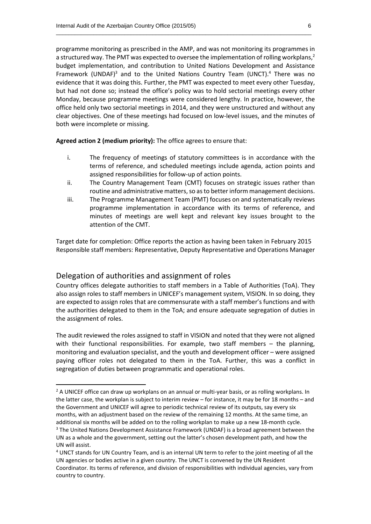programme monitoring as prescribed in the AMP, and was not monitoring its programmes in a structured way. The PMT was expected to oversee the implementation of rolling workplans,<sup>2</sup> budget implementation, and contribution to United Nations Development and Assistance Framework (UNDAF)<sup>3</sup> and to the United Nations Country Team (UNCT).<sup>4</sup> There was no evidence that it was doing this. Further, the PMT was expected to meet every other Tuesday, but had not done so; instead the office's policy was to hold sectorial meetings every other Monday, because programme meetings were considered lengthy. In practice, however, the office held only two sectorial meetings in 2014, and they were unstructured and without any clear objectives. One of these meetings had focused on low-level issues, and the minutes of both were incomplete or missing.

\_\_\_\_\_\_\_\_\_\_\_\_\_\_\_\_\_\_\_\_\_\_\_\_\_\_\_\_\_\_\_\_\_\_\_\_\_\_\_\_\_\_\_\_\_\_\_\_\_\_\_\_\_\_\_\_\_\_\_\_\_\_\_\_\_\_\_\_\_\_\_\_\_\_\_\_\_\_\_\_\_\_

**Agreed action 2 (medium priority):** The office agrees to ensure that:

- i. The frequency of meetings of statutory committees is in accordance with the terms of reference, and scheduled meetings include agenda, action points and assigned responsibilities for follow-up of action points.
- ii. The Country Management Team (CMT) focuses on strategic issues rather than routine and administrative matters, so as to better inform management decisions.
- iii. The Programme Management Team (PMT) focuses on and systematically reviews programme implementation in accordance with its terms of reference, and minutes of meetings are well kept and relevant key issues brought to the attention of the CMT.

Target date for completion: Office reports the action as having been taken in February 2015 Responsible staff members: Representative, Deputy Representative and Operations Manager

#### Delegation of authorities and assignment of roles

 $\overline{a}$ 

Country offices delegate authorities to staff members in a Table of Authorities (ToA). They also assign roles to staff members in UNICEF's management system, VISION. In so doing, they are expected to assign roles that are commensurate with a staff member's functions and with the authorities delegated to them in the ToA; and ensure adequate segregation of duties in the assignment of roles.

The audit reviewed the roles assigned to staff in VISION and noted that they were not aligned with their functional responsibilities. For example, two staff members – the planning, monitoring and evaluation specialist, and the youth and development officer – were assigned paying officer roles not delegated to them in the ToA. Further, this was a conflict in segregation of duties between programmatic and operational roles.

 $<sup>2</sup>$  A UNICEF office can draw up workplans on an annual or multi-year basis, or as rolling workplans. In</sup> the latter case, the workplan is subject to interim review – for instance, it may be for 18 months – and the Government and UNICEF will agree to periodic technical review of its outputs, say every six months, with an adjustment based on the review of the remaining 12 months. At the same time, an additional six months will be added on to the rolling workplan to make up a new 18-month cycle.

<sup>&</sup>lt;sup>3</sup> The United Nations Development Assistance Framework (UNDAF) is a broad agreement between the UN as a whole and the government, setting out the latter's chosen development path, and how the UN will assist.

<sup>&</sup>lt;sup>4</sup> UNCT stands for UN Country Team, and is an internal UN term to refer to the joint meeting of all the UN agencies or bodies active in a given country. The UNCT is convened by the UN Resident Coordinator. Its terms of reference, and division of responsibilities with individual agencies, vary from country to country.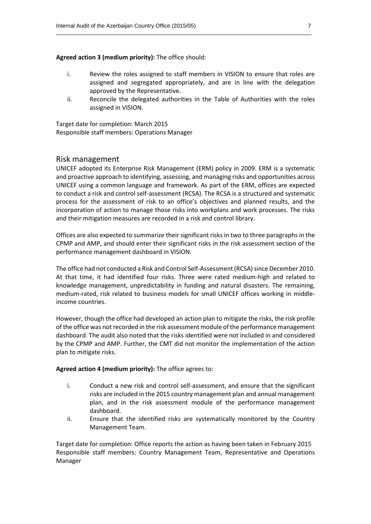#### **Agreed action 3 (medium priority):** The office should:

i. Review the roles assigned to staff members in VISION to ensure that roles are assigned and segregated appropriately, and are in line with the delegation approved by the Representative.

\_\_\_\_\_\_\_\_\_\_\_\_\_\_\_\_\_\_\_\_\_\_\_\_\_\_\_\_\_\_\_\_\_\_\_\_\_\_\_\_\_\_\_\_\_\_\_\_\_\_\_\_\_\_\_\_\_\_\_\_\_\_\_\_\_\_\_\_\_\_\_\_\_\_\_\_\_\_\_\_\_\_

ii. Reconcile the delegated authorities in the Table of Authorities with the roles assigned in VISION.

Target date for completion: March 2015 Responsible staff members: Operations Manager

#### Risk management

UNICEF adopted its Enterprise Risk Management (ERM) policy in 2009. ERM is a systematic and proactive approach to identifying, assessing, and managing risks and opportunities across UNICEF using a common language and framework. As part of the ERM, offices are expected to conduct a risk and control self-assessment (RCSA). The RCSA is a structured and systematic process for the assessment of risk to an office's objectives and planned results, and the incorporation of action to manage those risks into workplans and work processes. The risks and their mitigation measures are recorded in a risk and control library.

Offices are also expected to summarize their significant risks in two to three paragraphs in the CPMP and AMP, and should enter their significant risks in the risk assessment section of the performance management dashboard in VISION.

The office had not conducted a Risk and Control Self-Assessment (RCSA) since December 2010. At that time, it had identified four risks. Three were rated medium-high and related to knowledge management, unpredictability in funding and natural disasters. The remaining, medium-rated, risk related to business models for small UNICEF offices working in middleincome countries.

However, though the office had developed an action plan to mitigate the risks, the risk profile of the office was not recorded in the risk assessment module of the performance management dashboard. The audit also noted that the risks identified were not included in and considered by the CPMP and AMP. Further, the CMT did not monitor the implementation of the action plan to mitigate risks.

#### **Agreed action 4 (medium priority):** The office agrees to:

- i. Conduct a new risk and control self-assessment, and ensure that the significant risks are included in the 2015 country management plan and annual management plan, and in the risk assessment module of the performance management dashboard.
- ii. Ensure that the identified risks are systematically monitored by the Country Management Team.

Target date for completion: Office reports the action as having been taken in February 2015 Responsible staff members: Country Management Team, Representative and Operations Manager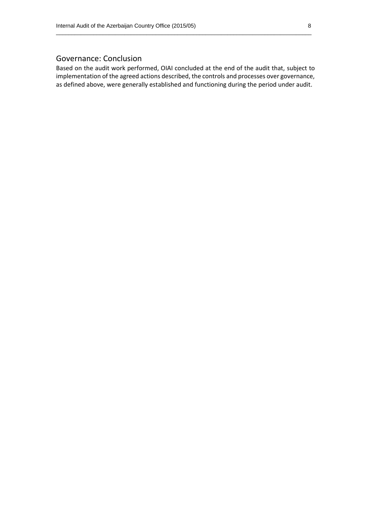#### Governance: Conclusion

Based on the audit work performed, OIAI concluded at the end of the audit that, subject to implementation of the agreed actions described, the controls and processes over governance, as defined above, were generally established and functioning during the period under audit.

\_\_\_\_\_\_\_\_\_\_\_\_\_\_\_\_\_\_\_\_\_\_\_\_\_\_\_\_\_\_\_\_\_\_\_\_\_\_\_\_\_\_\_\_\_\_\_\_\_\_\_\_\_\_\_\_\_\_\_\_\_\_\_\_\_\_\_\_\_\_\_\_\_\_\_\_\_\_\_\_\_\_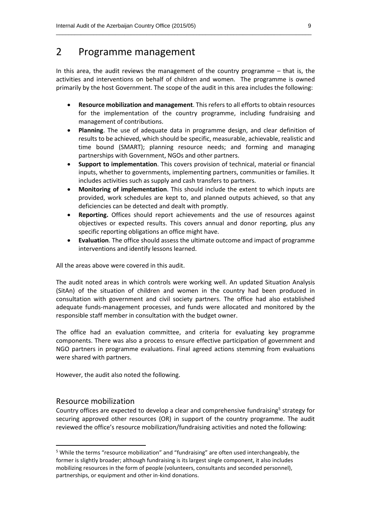### 2 Programme management

In this area, the audit reviews the management of the country programme – that is, the activities and interventions on behalf of children and women. The programme is owned primarily by the host Government. The scope of the audit in this area includes the following:

\_\_\_\_\_\_\_\_\_\_\_\_\_\_\_\_\_\_\_\_\_\_\_\_\_\_\_\_\_\_\_\_\_\_\_\_\_\_\_\_\_\_\_\_\_\_\_\_\_\_\_\_\_\_\_\_\_\_\_\_\_\_\_\_\_\_\_\_\_\_\_\_\_\_\_\_\_\_\_\_\_\_

- **Resource mobilization and management**. This refers to all efforts to obtain resources for the implementation of the country programme, including fundraising and management of contributions.
- **Planning**. The use of adequate data in programme design, and clear definition of results to be achieved, which should be specific, measurable, achievable, realistic and time bound (SMART); planning resource needs; and forming and managing partnerships with Government, NGOs and other partners.
- **Support to implementation**. This covers provision of technical, material or financial inputs, whether to governments, implementing partners, communities or families. It includes activities such as supply and cash transfers to partners.
- **Monitoring of implementation**. This should include the extent to which inputs are provided, work schedules are kept to, and planned outputs achieved, so that any deficiencies can be detected and dealt with promptly.
- **Reporting.** Offices should report achievements and the use of resources against objectives or expected results. This covers annual and donor reporting, plus any specific reporting obligations an office might have.
- **Evaluation**. The office should assess the ultimate outcome and impact of programme interventions and identify lessons learned.

All the areas above were covered in this audit.

The audit noted areas in which controls were working well. An updated Situation Analysis (SitAn) of the situation of children and women in the country had been produced in consultation with government and civil society partners. The office had also established adequate funds-management processes, and funds were allocated and monitored by the responsible staff member in consultation with the budget owner.

The office had an evaluation committee, and criteria for evaluating key programme components. There was also a process to ensure effective participation of government and NGO partners in programme evaluations. Final agreed actions stemming from evaluations were shared with partners.

However, the audit also noted the following.

#### Resource mobilization

**.** 

Country offices are expected to develop a clear and comprehensive fundraising<sup>5</sup> strategy for securing approved other resources (OR) in support of the country programme. The audit reviewed the office's resource mobilization/fundraising activities and noted the following:

<sup>&</sup>lt;sup>5</sup> While the terms "resource mobilization" and "fundraising" are often used interchangeably, the former is slightly broader; although fundraising is its largest single component, it also includes mobilizing resources in the form of people (volunteers, consultants and seconded personnel), partnerships, or equipment and other in-kind donations.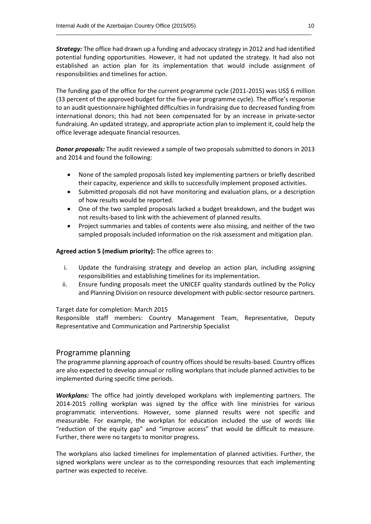*Strategy:* The office had drawn up a funding and advocacy strategy in 2012 and had identified potential funding opportunities. However, it had not updated the strategy. It had also not established an action plan for its implementation that would include assignment of responsibilities and timelines for action.

\_\_\_\_\_\_\_\_\_\_\_\_\_\_\_\_\_\_\_\_\_\_\_\_\_\_\_\_\_\_\_\_\_\_\_\_\_\_\_\_\_\_\_\_\_\_\_\_\_\_\_\_\_\_\_\_\_\_\_\_\_\_\_\_\_\_\_\_\_\_\_\_\_\_\_\_\_\_\_\_\_\_

The funding gap of the office for the current programme cycle (2011-2015) was US\$ 6 million (33 percent of the approved budget for the five-year programme cycle). The office's response to an audit questionnaire highlighted difficulties in fundraising due to decreased funding from international donors; this had not been compensated for by an increase in private-sector fundraising. An updated strategy, and appropriate action plan to implement it, could help the office leverage adequate financial resources.

*Donor proposals:* The audit reviewed a sample of two proposals submitted to donors in 2013 and 2014 and found the following:

- None of the sampled proposals listed key implementing partners or briefly described their capacity, experience and skills to successfully implement proposed activities.
- Submitted proposals did not have monitoring and evaluation plans, or a description of how results would be reported.
- One of the two sampled proposals lacked a budget breakdown, and the budget was not results-based to link with the achievement of planned results.
- Project summaries and tables of contents were also missing, and neither of the two sampled proposals included information on the risk assessment and mitigation plan.

**Agreed action 5 (medium priority):** The office agrees to:

- i. Update the fundraising strategy and develop an action plan, including assigning responsibilities and establishing timelines for its implementation.
- ii. Ensure funding proposals meet the UNICEF quality standards outlined by the Policy and Planning Division on resource development with public-sector resource partners.

Target date for completion: March 2015

Responsible staff members: Country Management Team, Representative, Deputy Representative and Communication and Partnership Specialist

#### Programme planning

The programme planning approach of country offices should be results-based. Country offices are also expected to develop annual or rolling workplans that include planned activities to be implemented during specific time periods.

*Workplans:* The office had jointly developed workplans with implementing partners. The 2014-2015 rolling workplan was signed by the office with line ministries for various programmatic interventions. However, some planned results were not specific and measurable. For example, the workplan for education included the use of words like "reduction of the equity gap" and "improve access" that would be difficult to measure. Further, there were no targets to monitor progress.

The workplans also lacked timelines for implementation of planned activities. Further, the signed workplans were unclear as to the corresponding resources that each implementing partner was expected to receive.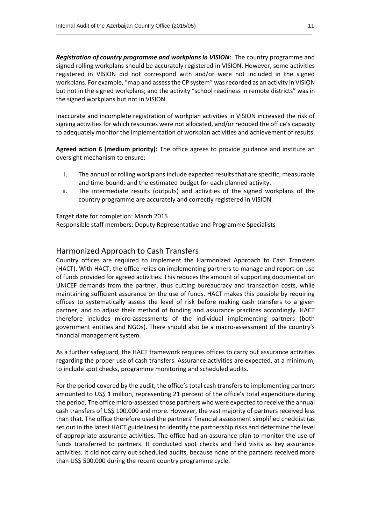*Registration of country programme and workplans in VISION:* The country programme and signed rolling workplans should be accurately registered in VISION. However, some activities registered in VISION did not correspond with and/or were not included in the signed workplans. For example, "map and assess the CP system" was recorded as an activity in VISION but not in the signed workplans; and the activity "school readiness in remote districts" was in the signed workplans but not in VISION.

\_\_\_\_\_\_\_\_\_\_\_\_\_\_\_\_\_\_\_\_\_\_\_\_\_\_\_\_\_\_\_\_\_\_\_\_\_\_\_\_\_\_\_\_\_\_\_\_\_\_\_\_\_\_\_\_\_\_\_\_\_\_\_\_\_\_\_\_\_\_\_\_\_\_\_\_\_\_\_\_\_\_

Inaccurate and incomplete registration of workplan activities in VISION increased the risk of signing activities for which resources were not allocated, and/or reduced the office's capacity to adequately monitor the implementation of workplan activities and achievement of results.

**Agreed action 6 (medium priority):** The office agrees to provide guidance and institute an oversight mechanism to ensure:

- i. The annual or rolling workplans include expected results that are specific, measurable and time-bound; and the estimated budget for each planned activity.
- ii. The intermediate results (outputs) and activities of the signed workplans of the country programme are accurately and correctly registered in VISION.

Target date for completion: March 2015

Responsible staff members: Deputy Representative and Programme Specialists

#### Harmonized Approach to Cash Transfers

Country offices are required to implement the Harmonized Approach to Cash Transfers (HACT). With HACT, the office relies on implementing partners to manage and report on use of funds provided for agreed activities. This reduces the amount of supporting documentation UNICEF demands from the partner, thus cutting bureaucracy and transaction costs, while maintaining sufficient assurance on the use of funds. HACT makes this possible by requiring offices to systematically assess the level of risk before making cash transfers to a given partner, and to adjust their method of funding and assurance practices accordingly. HACT therefore includes micro‐assessments of the individual implementing partners (both government entities and NGOs). There should also be a macro‐assessment of the country's financial management system.

As a further safeguard, the HACT framework requires offices to carry out assurance activities regarding the proper use of cash transfers. Assurance activities are expected, at a minimum, to include spot checks, programme monitoring and scheduled audits.

For the period covered by the audit, the office's total cash transfers to implementing partners amounted to US\$ 1 million, representing 21 percent of the office's total expenditure during the period. The office micro-assessed those partners who were expected to receive the annual cash transfers of US\$ 100,000 and more. However, the vast majority of partners received less than that. The office therefore used the partners' financial assessment simplified checklist (as set out in the latest HACT guidelines) to identify the partnership risks and determine the level of appropriate assurance activities. The office had an assurance plan to monitor the use of funds transferred to partners. It conducted spot checks and field visits as key assurance activities. It did not carry out scheduled audits, because none of the partners received more than US\$ 500,000 during the recent country programme cycle.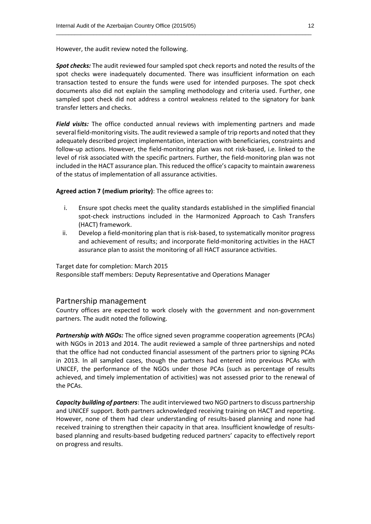However, the audit review noted the following.

*Spot checks:* The audit reviewed four sampled spot check reports and noted the results of the spot checks were inadequately documented. There was insufficient information on each transaction tested to ensure the funds were used for intended purposes. The spot check documents also did not explain the sampling methodology and criteria used. Further, one sampled spot check did not address a control weakness related to the signatory for bank transfer letters and checks.

\_\_\_\_\_\_\_\_\_\_\_\_\_\_\_\_\_\_\_\_\_\_\_\_\_\_\_\_\_\_\_\_\_\_\_\_\_\_\_\_\_\_\_\_\_\_\_\_\_\_\_\_\_\_\_\_\_\_\_\_\_\_\_\_\_\_\_\_\_\_\_\_\_\_\_\_\_\_\_\_\_\_

*Field visits:* The office conducted annual reviews with implementing partners and made several field-monitoring visits. The audit reviewed a sample of trip reports and noted that they adequately described project implementation, interaction with beneficiaries, constraints and follow-up actions. However, the field-monitoring plan was not risk-based, i.e. linked to the level of risk associated with the specific partners. Further, the field-monitoring plan was not included in the HACT assurance plan. This reduced the office's capacity to maintain awareness of the status of implementation of all assurance activities.

**Agreed action 7 (medium priority)**: The office agrees to:

- i. Ensure spot checks meet the quality standards established in the simplified financial spot-check instructions included in the Harmonized Approach to Cash Transfers (HACT) framework.
- ii. Develop a field-monitoring plan that is risk-based, to systematically monitor progress and achievement of results; and incorporate field-monitoring activities in the HACT assurance plan to assist the monitoring of all HACT assurance activities.

Target date for completion: March 2015

Responsible staff members: Deputy Representative and Operations Manager

#### Partnership management

Country offices are expected to work closely with the government and non-government partners. The audit noted the following.

*Partnership with NGOs:* The office signed seven programme cooperation agreements (PCAs) with NGOs in 2013 and 2014. The audit reviewed a sample of three partnerships and noted that the office had not conducted financial assessment of the partners prior to signing PCAs in 2013. In all sampled cases, though the partners had entered into previous PCAs with UNICEF, the performance of the NGOs under those PCAs (such as percentage of results achieved, and timely implementation of activities) was not assessed prior to the renewal of the PCAs.

*Capacity building of partners*: The audit interviewed two NGO partners to discuss partnership and UNICEF support. Both partners acknowledged receiving training on HACT and reporting. However, none of them had clear understanding of results-based planning and none had received training to strengthen their capacity in that area. Insufficient knowledge of resultsbased planning and results-based budgeting reduced partners' capacity to effectively report on progress and results.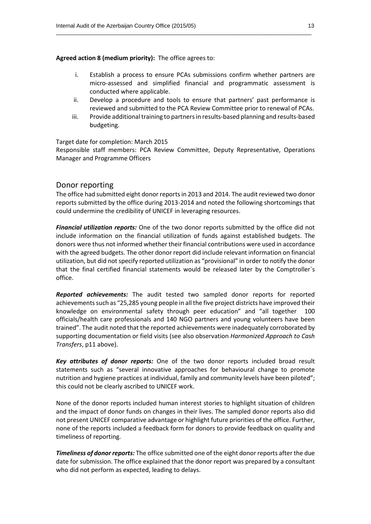#### **Agreed action 8 (medium priority):** The office agrees to:

i. Establish a process to ensure PCAs submissions confirm whether partners are micro-assessed and simplified financial and programmatic assessment is conducted where applicable.

\_\_\_\_\_\_\_\_\_\_\_\_\_\_\_\_\_\_\_\_\_\_\_\_\_\_\_\_\_\_\_\_\_\_\_\_\_\_\_\_\_\_\_\_\_\_\_\_\_\_\_\_\_\_\_\_\_\_\_\_\_\_\_\_\_\_\_\_\_\_\_\_\_\_\_\_\_\_\_\_\_\_

- ii. Develop a procedure and tools to ensure that partners' past performance is reviewed and submitted to the PCA Review Committee prior to renewal of PCAs.
- iii. Provide additional training to partners in results-based planning and results-based budgeting.

#### Target date for completion: March 2015

Responsible staff members: PCA Review Committee, Deputy Representative, Operations Manager and Programme Officers

#### Donor reporting

The office had submitted eight donor reports in 2013 and 2014. The audit reviewed two donor reports submitted by the office during 2013-2014 and noted the following shortcomings that could undermine the credibility of UNICEF in leveraging resources.

*Financial utilization reports:* One of the two donor reports submitted by the office did not include information on the financial utilization of funds against established budgets. The donors were thus not informed whether their financial contributions were used in accordance with the agreed budgets. The other donor report did include relevant information on financial utilization, but did not specify reported utilization as "provisional" in order to notify the donor that the final certified financial statements would be released later by the Comptroller`s office.

*Reported achievements:* The audit tested two sampled donor reports for reported achievements such as "25,285 young people in all the five project districts have improved their knowledge on environmental safety through peer education" and "all together 100 officials/health care professionals and 140 NGO partners and young volunteers have been trained". The audit noted that the reported achievements were inadequately corroborated by supporting documentation or field visits (see also observation *Harmonized Approach to Cash Transfers*, p11 above).

*Key attributes of donor reports:* One of the two donor reports included broad result statements such as "several innovative approaches for behavioural change to promote nutrition and hygiene practices at individual, family and community levels have been piloted"; this could not be clearly ascribed to UNICEF work.

None of the donor reports included human interest stories to highlight situation of children and the impact of donor funds on changes in their lives. The sampled donor reports also did not present UNICEF comparative advantage or highlight future priorities of the office. Further, none of the reports included a feedback form for donors to provide feedback on quality and timeliness of reporting.

*Timeliness of donor reports:* The office submitted one of the eight donor reports after the due date for submission. The office explained that the donor report was prepared by a consultant who did not perform as expected, leading to delays.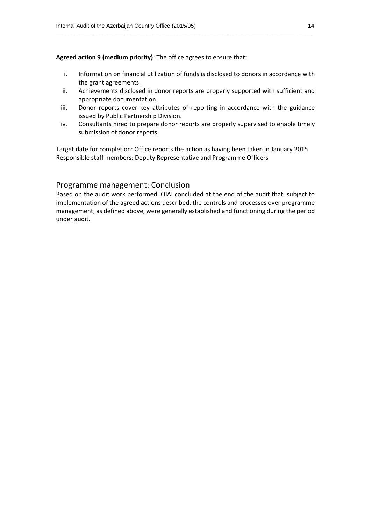**Agreed action 9 (medium priority)**: The office agrees to ensure that:

i. Information on financial utilization of funds is disclosed to donors in accordance with the grant agreements.

\_\_\_\_\_\_\_\_\_\_\_\_\_\_\_\_\_\_\_\_\_\_\_\_\_\_\_\_\_\_\_\_\_\_\_\_\_\_\_\_\_\_\_\_\_\_\_\_\_\_\_\_\_\_\_\_\_\_\_\_\_\_\_\_\_\_\_\_\_\_\_\_\_\_\_\_\_\_\_\_\_\_

- ii. Achievements disclosed in donor reports are properly supported with sufficient and appropriate documentation.
- iii. Donor reports cover key attributes of reporting in accordance with the guidance issued by Public Partnership Division.
- iv. Consultants hired to prepare donor reports are properly supervised to enable timely submission of donor reports.

Target date for completion: Office reports the action as having been taken in January 2015 Responsible staff members: Deputy Representative and Programme Officers

#### Programme management: Conclusion

Based on the audit work performed, OIAI concluded at the end of the audit that, subject to implementation of the agreed actions described, the controls and processes over programme management, as defined above, were generally established and functioning during the period under audit.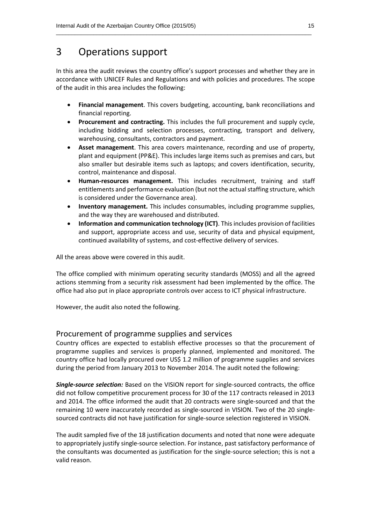## 3 Operations support

In this area the audit reviews the country office's support processes and whether they are in accordance with UNICEF Rules and Regulations and with policies and procedures. The scope of the audit in this area includes the following:

\_\_\_\_\_\_\_\_\_\_\_\_\_\_\_\_\_\_\_\_\_\_\_\_\_\_\_\_\_\_\_\_\_\_\_\_\_\_\_\_\_\_\_\_\_\_\_\_\_\_\_\_\_\_\_\_\_\_\_\_\_\_\_\_\_\_\_\_\_\_\_\_\_\_\_\_\_\_\_\_\_\_

- **Financial management**. This covers budgeting, accounting, bank reconciliations and financial reporting.
- **Procurement and contracting.** This includes the full procurement and supply cycle, including bidding and selection processes, contracting, transport and delivery, warehousing, consultants, contractors and payment.
- **Asset management**. This area covers maintenance, recording and use of property, plant and equipment (PP&E). This includes large items such as premises and cars, but also smaller but desirable items such as laptops; and covers identification, security, control, maintenance and disposal.
- **Human-resources management.** This includes recruitment, training and staff entitlements and performance evaluation (but not the actual staffing structure, which is considered under the Governance area).
- **Inventory management.** This includes consumables, including programme supplies, and the way they are warehoused and distributed.
- **Information and communication technology (ICT)**. This includes provision of facilities and support, appropriate access and use, security of data and physical equipment, continued availability of systems, and cost-effective delivery of services.

All the areas above were covered in this audit.

The office complied with minimum operating security standards (MOSS) and all the agreed actions stemming from a security risk assessment had been implemented by the office. The office had also put in place appropriate controls over access to ICT physical infrastructure.

However, the audit also noted the following.

#### Procurement of programme supplies and services

Country offices are expected to establish effective processes so that the procurement of programme supplies and services is properly planned, implemented and monitored. The country office had locally procured over US\$ 1.2 million of programme supplies and services during the period from January 2013 to November 2014. The audit noted the following:

*Single-source selection:* Based on the VISION report for single-sourced contracts, the office did not follow competitive procurement process for 30 of the 117 contracts released in 2013 and 2014. The office informed the audit that 20 contracts were single-sourced and that the remaining 10 were inaccurately recorded as single-sourced in VISION. Two of the 20 singlesourced contracts did not have justification for single-source selection registered in VISION.

The audit sampled five of the 18 justification documents and noted that none were adequate to appropriately justify single-source selection. For instance, past satisfactory performance of the consultants was documented as justification for the single-source selection; this is not a valid reason.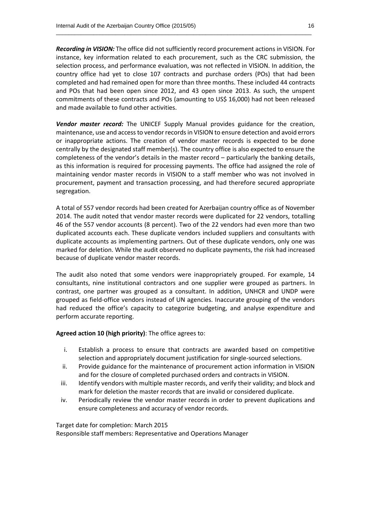*Recording in VISION:* The office did not sufficiently record procurement actions in VISION. For instance, key information related to each procurement, such as the CRC submission, the selection process, and performance evaluation, was not reflected in VISION. In addition, the country office had yet to close 107 contracts and purchase orders (POs) that had been completed and had remained open for more than three months. These included 44 contracts and POs that had been open since 2012, and 43 open since 2013. As such, the unspent commitments of these contracts and POs (amounting to US\$ 16,000) had not been released and made available to fund other activities.

\_\_\_\_\_\_\_\_\_\_\_\_\_\_\_\_\_\_\_\_\_\_\_\_\_\_\_\_\_\_\_\_\_\_\_\_\_\_\_\_\_\_\_\_\_\_\_\_\_\_\_\_\_\_\_\_\_\_\_\_\_\_\_\_\_\_\_\_\_\_\_\_\_\_\_\_\_\_\_\_\_\_

*Vendor master record:* The UNICEF Supply Manual provides guidance for the creation, maintenance, use and access to vendor records in VISION to ensure detection and avoid errors or inappropriate actions. The creation of vendor master records is expected to be done centrally by the designated staff member(s). The country office is also expected to ensure the completeness of the vendor's details in the master record – particularly the banking details, as this information is required for processing payments. The office had assigned the role of maintaining vendor master records in VISION to a staff member who was not involved in procurement, payment and transaction processing, and had therefore secured appropriate segregation.

A total of 557 vendor records had been created for Azerbaijan country office as of November 2014. The audit noted that vendor master records were duplicated for 22 vendors, totalling 46 of the 557 vendor accounts (8 percent). Two of the 22 vendors had even more than two duplicated accounts each. These duplicate vendors included suppliers and consultants with duplicate accounts as implementing partners. Out of these duplicate vendors, only one was marked for deletion. While the audit observed no duplicate payments, the risk had increased because of duplicate vendor master records.

The audit also noted that some vendors were inappropriately grouped. For example, 14 consultants, nine institutional contractors and one supplier were grouped as partners. In contrast, one partner was grouped as a consultant. In addition, UNHCR and UNDP were grouped as field-office vendors instead of UN agencies. Inaccurate grouping of the vendors had reduced the office's capacity to categorize budgeting, and analyse expenditure and perform accurate reporting.

**Agreed action 10 (high priority)**: The office agrees to:

- i. Establish a process to ensure that contracts are awarded based on competitive selection and appropriately document justification for single-sourced selections.
- ii. Provide guidance for the maintenance of procurement action information in VISION and for the closure of completed purchased orders and contracts in VISION.
- iii. Identify vendors with multiple master records, and verify their validity; and block and mark for deletion the master records that are invalid or considered duplicate.
- iv. Periodically review the vendor master records in order to prevent duplications and ensure completeness and accuracy of vendor records.

Target date for completion: March 2015 Responsible staff members: Representative and Operations Manager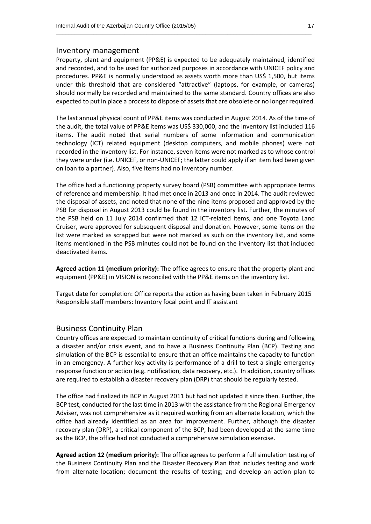#### Inventory management

Property, plant and equipment (PP&E) is expected to be adequately maintained, identified and recorded, and to be used for authorized purposes in accordance with UNICEF policy and procedures. PP&E is normally understood as assets worth more than US\$ 1,500, but items under this threshold that are considered "attractive" (laptops, for example, or cameras) should normally be recorded and maintained to the same standard. Country offices are also expected to put in place a process to dispose of assets that are obsolete or no longer required.

\_\_\_\_\_\_\_\_\_\_\_\_\_\_\_\_\_\_\_\_\_\_\_\_\_\_\_\_\_\_\_\_\_\_\_\_\_\_\_\_\_\_\_\_\_\_\_\_\_\_\_\_\_\_\_\_\_\_\_\_\_\_\_\_\_\_\_\_\_\_\_\_\_\_\_\_\_\_\_\_\_\_

The last annual physical count of PP&E items was conducted in August 2014. As of the time of the audit, the total value of PP&E items was US\$ 330,000, and the inventory list included 116 items. The audit noted that serial numbers of some information and communication technology (ICT) related equipment (desktop computers, and mobile phones) were not recorded in the inventory list. For instance, seven items were not marked as to whose control they were under (i.e. UNICEF, or non-UNICEF; the latter could apply if an item had been given on loan to a partner). Also, five items had no inventory number.

The office had a functioning property survey board (PSB) committee with appropriate terms of reference and membership. It had met once in 2013 and once in 2014. The audit reviewed the disposal of assets, and noted that none of the nine items proposed and approved by the PSB for disposal in August 2013 could be found in the inventory list. Further, the minutes of the PSB held on 11 July 2014 confirmed that 12 ICT-related items, and one Toyota Land Cruiser, were approved for subsequent disposal and donation. However, some items on the list were marked as scrapped but were not marked as such on the inventory list, and some items mentioned in the PSB minutes could not be found on the inventory list that included deactivated items.

**Agreed action 11 (medium priority):** The office agrees to ensure that the property plant and equipment (PP&E) in VISION is reconciled with the PP&E items on the inventory list.

Target date for completion: Office reports the action as having been taken in February 2015 Responsible staff members: Inventory focal point and IT assistant

#### Business Continuity Plan

Country offices are expected to maintain continuity of critical functions during and following a disaster and/or crisis event, and to have a Business Continuity Plan (BCP). Testing and simulation of the BCP is essential to ensure that an office maintains the capacity to function in an emergency. A further key activity is performance of a drill to test a single emergency response function or action (e.g. notification, data recovery, etc.). In addition, country offices are required to establish a disaster recovery plan (DRP) that should be regularly tested.

The office had finalized its BCP in August 2011 but had not updated it since then. Further, the BCP test, conducted for the last time in 2013 with the assistance from the Regional Emergency Adviser, was not comprehensive as it required working from an alternate location, which the office had already identified as an area for improvement. Further, although the disaster recovery plan (DRP), a critical component of the BCP, had been developed at the same time as the BCP, the office had not conducted a comprehensive simulation exercise.

**Agreed action 12 (medium priority):** The office agrees to perform a full simulation testing of the Business Continuity Plan and the Disaster Recovery Plan that includes testing and work from alternate location; document the results of testing; and develop an action plan to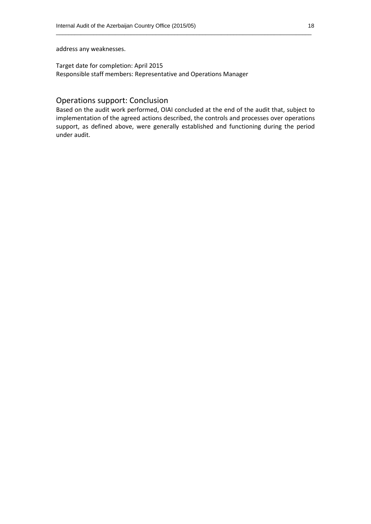address any weaknesses.

#### Target date for completion: April 2015

Responsible staff members: Representative and Operations Manager

#### Operations support: Conclusion

Based on the audit work performed, OIAI concluded at the end of the audit that, subject to implementation of the agreed actions described, the controls and processes over operations support, as defined above, were generally established and functioning during the period under audit.

\_\_\_\_\_\_\_\_\_\_\_\_\_\_\_\_\_\_\_\_\_\_\_\_\_\_\_\_\_\_\_\_\_\_\_\_\_\_\_\_\_\_\_\_\_\_\_\_\_\_\_\_\_\_\_\_\_\_\_\_\_\_\_\_\_\_\_\_\_\_\_\_\_\_\_\_\_\_\_\_\_\_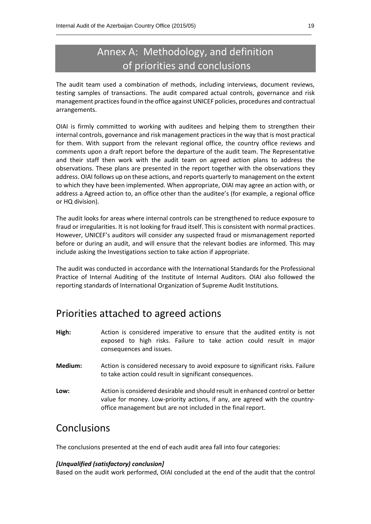# Annex A: Methodology, and definition of priorities and conclusions

\_\_\_\_\_\_\_\_\_\_\_\_\_\_\_\_\_\_\_\_\_\_\_\_\_\_\_\_\_\_\_\_\_\_\_\_\_\_\_\_\_\_\_\_\_\_\_\_\_\_\_\_\_\_\_\_\_\_\_\_\_\_\_\_\_\_\_\_\_\_\_\_\_\_\_\_\_\_\_\_\_\_

The audit team used a combination of methods, including interviews, document reviews, testing samples of transactions. The audit compared actual controls, governance and risk management practices found in the office against UNICEF policies, procedures and contractual arrangements.

OIAI is firmly committed to working with auditees and helping them to strengthen their internal controls, governance and risk management practices in the way that is most practical for them. With support from the relevant regional office, the country office reviews and comments upon a draft report before the departure of the audit team. The Representative and their staff then work with the audit team on agreed action plans to address the observations. These plans are presented in the report together with the observations they address. OIAI follows up on these actions, and reports quarterly to management on the extent to which they have been implemented. When appropriate, OIAI may agree an action with, or address a Agreed action to, an office other than the auditee's (for example, a regional office or HQ division).

The audit looks for areas where internal controls can be strengthened to reduce exposure to fraud or irregularities. It is not looking for fraud itself. This is consistent with normal practices. However, UNICEF's auditors will consider any suspected fraud or mismanagement reported before or during an audit, and will ensure that the relevant bodies are informed. This may include asking the Investigations section to take action if appropriate.

The audit was conducted in accordance with the International Standards for the Professional Practice of Internal Auditing of the Institute of Internal Auditors. OIAI also followed the reporting standards of International Organization of Supreme Audit Institutions.

## Priorities attached to agreed actions

- **High:** Action is considered imperative to ensure that the audited entity is not exposed to high risks. Failure to take action could result in major consequences and issues.
- **Medium:** Action is considered necessary to avoid exposure to significant risks. Failure to take action could result in significant consequences.
- **Low:** Action is considered desirable and should result in enhanced control or better value for money. Low-priority actions, if any, are agreed with the countryoffice management but are not included in the final report.

## Conclusions

The conclusions presented at the end of each audit area fall into four categories:

#### *[Unqualified (satisfactory) conclusion]*

Based on the audit work performed, OIAI concluded at the end of the audit that the control